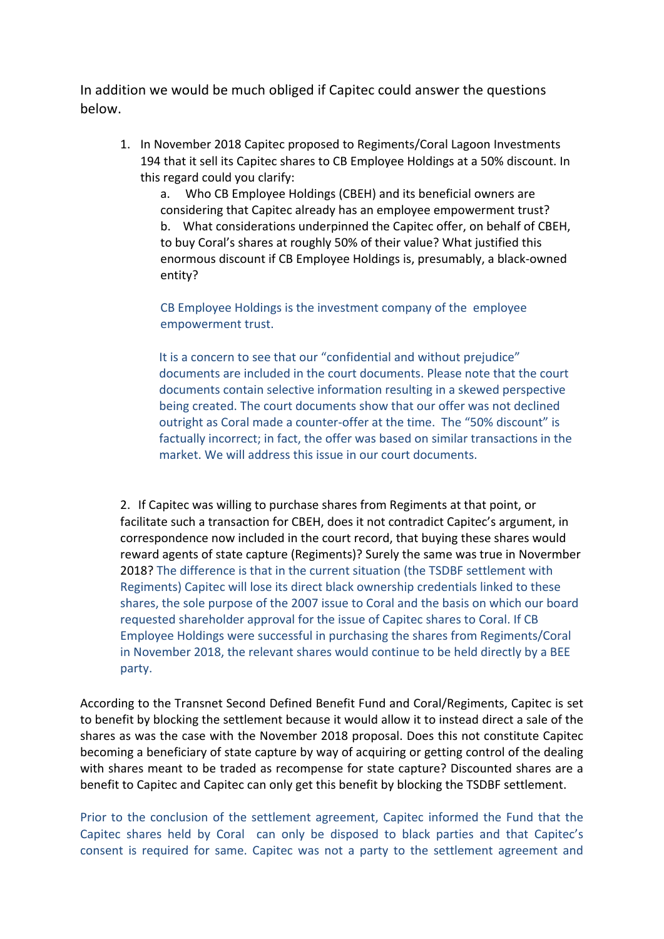In addition we would be much obliged if Capitec could answer the questions below.

1. In November 2018 Capitec proposed to Regiments/Coral Lagoon Investments 194 that it sell its Capitec shares to CB Employee Holdings at a 50% discount. In this regard could you clarify:

a. Who CB Employee Holdings (CBEH) and its beneficial owners are considering that Capitec already has an employee empowerment trust? b. What considerations underpinned the Capitec offer, on behalf of CBEH, to buy Coral's shares at roughly 50% of their value? What justified this enormous discount if CB Employee Holdings is, presumably, a black-owned entity?

CB Employee Holdings is the investment company of the employee empowerment trust.

It is a concern to see that our "confidential and without prejudice" documents are included in the court documents. Please note that the court documents contain selective information resulting in a skewed perspective being created. The court documents show that our offer was not declined outright as Coral made a counter-offer at the time. The "50% discount" is factually incorrect; in fact, the offer was based on similar transactions in the market. We will address this issue in our court documents.

2. If Capitec was willing to purchase shares from Regiments at that point, or facilitate such a transaction for CBEH, does it not contradict Capitec's argument, in correspondence now included in the court record, that buying these shares would reward agents of state capture (Regiments)? Surely the same was true in Novermber 2018? The difference is that in the current situation (the TSDBF settlement with Regiments) Capitec will lose its direct black ownership credentials linked to these shares, the sole purpose of the 2007 issue to Coral and the basis on which our board requested shareholder approval for the issue of Capitec shares to Coral. If CB Employee Holdings were successful in purchasing the shares from Regiments/Coral in November 2018, the relevant shares would continue to be held directly by a BEE party.

According to the Transnet Second Defined Benefit Fund and Coral/Regiments, Capitec is set to benefit by blocking the settlement because it would allow it to instead direct a sale of the shares as was the case with the November 2018 proposal. Does this not constitute Capitec becoming a beneficiary of state capture by way of acquiring or getting control of the dealing with shares meant to be traded as recompense for state capture? Discounted shares are a benefit to Capitec and Capitec can only get this benefit by blocking the TSDBF settlement.

Prior to the conclusion of the settlement agreement, Capitec informed the Fund that the Capitec shares held by Coral can only be disposed to black parties and that Capitec's consent is required for same. Capitec was not a party to the settlement agreement and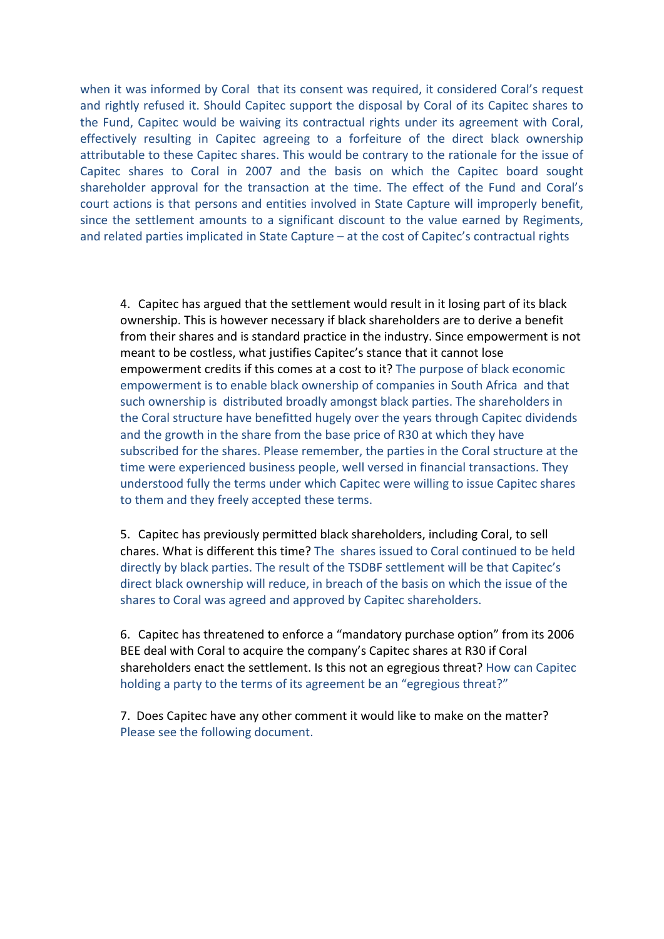when it was informed by Coral that its consent was required, it considered Coral's request and rightly refused it. Should Capitec support the disposal by Coral of its Capitec shares to the Fund, Capitec would be waiving its contractual rights under its agreement with Coral, effectively resulting in Capitec agreeing to a forfeiture of the direct black ownership attributable to these Capitec shares. This would be contrary to the rationale for the issue of Capitec shares to Coral in 2007 and the basis on which the Capitec board sought shareholder approval for the transaction at the time. The effect of the Fund and Coral's court actions is that persons and entities involved in State Capture will improperly benefit, since the settlement amounts to a significant discount to the value earned by Regiments, and related parties implicated in State Capture - at the cost of Capitec's contractual rights

4. Capitec has argued that the settlement would result in it losing part of its black ownership. This is however necessary if black shareholders are to derive a benefit from their shares and is standard practice in the industry. Since empowerment is not meant to be costless, what justifies Capitec's stance that it cannot lose empowerment credits if this comes at a cost to it? The purpose of black economic empowerment is to enable black ownership of companies in South Africa and that such ownership is distributed broadly amongst black parties. The shareholders in the Coral structure have benefitted hugely over the years through Capitec dividends and the growth in the share from the base price of R30 at which they have subscribed for the shares. Please remember, the parties in the Coral structure at the time were experienced business people, well versed in financial transactions. They understood fully the terms under which Capitec were willing to issue Capitec shares to them and they freely accepted these terms.

5. Capitec has previously permitted black shareholders, including Coral, to sell chares. What is different this time? The shares issued to Coral continued to be held directly by black parties. The result of the TSDBF settlement will be that Capitec's direct black ownership will reduce, in breach of the basis on which the issue of the shares to Coral was agreed and approved by Capitec shareholders.

6. Capitec has threatened to enforce a "mandatory purchase option" from its 2006 BEE deal with Coral to acquire the company's Capitec shares at R30 if Coral shareholders enact the settlement. Is this not an egregious threat? How can Capitec holding a party to the terms of its agreement be an "egregious threat?"

7. Does Capitec have any other comment it would like to make on the matter? Please see the following document.